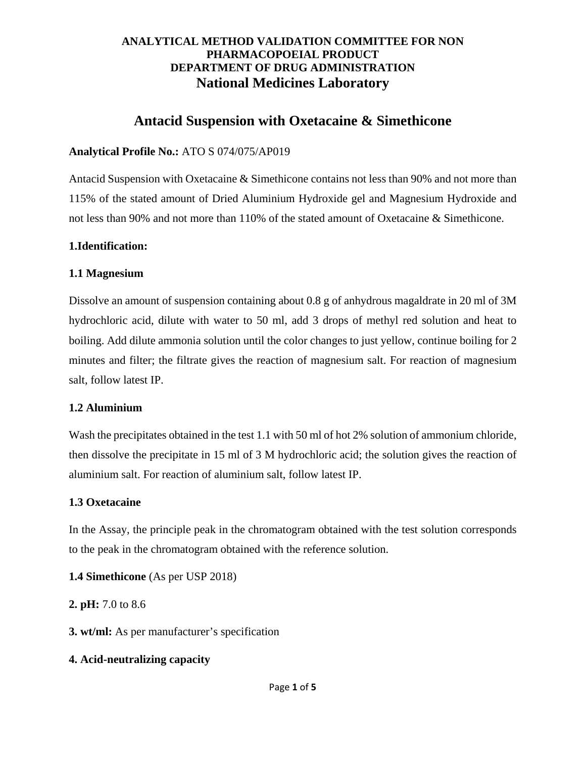# **Antacid Suspension with Oxetacaine & Simethicone**

### **Analytical Profile No.:** ATO S 074/075/AP019

Antacid Suspension with Oxetacaine & Simethicone contains not less than 90% and not more than 115% of the stated amount of Dried Aluminium Hydroxide gel and Magnesium Hydroxide and not less than 90% and not more than 110% of the stated amount of Oxetacaine & Simethicone.

### **1.Identification:**

### **1.1 Magnesium**

Dissolve an amount of suspension containing about 0.8 g of anhydrous magaldrate in 20 ml of 3M hydrochloric acid, dilute with water to 50 ml, add 3 drops of methyl red solution and heat to boiling. Add dilute ammonia solution until the color changes to just yellow, continue boiling for 2 minutes and filter; the filtrate gives the reaction of magnesium salt. For reaction of magnesium salt, follow latest IP.

### **1.2 Aluminium**

Wash the precipitates obtained in the test 1.1 with 50 ml of hot 2% solution of ammonium chloride, then dissolve the precipitate in 15 ml of 3 M hydrochloric acid; the solution gives the reaction of aluminium salt. For reaction of aluminium salt, follow latest IP.

# **1.3 Oxetacaine**

In the Assay, the principle peak in the chromatogram obtained with the test solution corresponds to the peak in the chromatogram obtained with the reference solution.

# **1.4 Simethicone** (As per USP 2018)

**2. pH:** 7.0 to 8.6

**3. wt/ml:** As per manufacturer's specification

# **4. Acid-neutralizing capacity**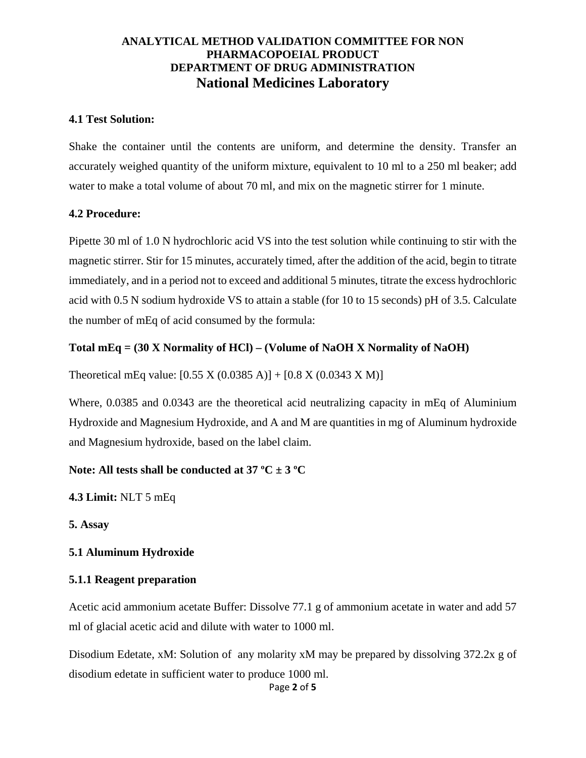#### **4.1 Test Solution:**

Shake the container until the contents are uniform, and determine the density. Transfer an accurately weighed quantity of the uniform mixture, equivalent to 10 ml to a 250 ml beaker; add water to make a total volume of about 70 ml, and mix on the magnetic stirrer for 1 minute.

#### **4.2 Procedure:**

Pipette 30 ml of 1.0 N hydrochloric acid VS into the test solution while continuing to stir with the magnetic stirrer. Stir for 15 minutes, accurately timed, after the addition of the acid, begin to titrate immediately, and in a period not to exceed and additional 5 minutes, titrate the excess hydrochloric acid with 0.5 N sodium hydroxide VS to attain a stable (for 10 to 15 seconds) pH of 3.5. Calculate the number of mEq of acid consumed by the formula:

### **Total mEq = (30 X Normality of HCl) – (Volume of NaOH X Normality of NaOH)**

Theoretical mEq value:  $[0.55 \text{ X } (0.0385 \text{ A})] + [0.8 \text{ X } (0.0343 \text{ X } \text{M})]$ 

Where, 0.0385 and 0.0343 are the theoretical acid neutralizing capacity in mEq of Aluminium Hydroxide and Magnesium Hydroxide, and A and M are quantities in mg of Aluminum hydroxide and Magnesium hydroxide, based on the label claim.

### **Note: All tests shall be conducted at 37 ºC ± 3 ºC**

**4.3 Limit:** NLT 5 mEq

**5. Assay**

### **5.1 Aluminum Hydroxide**

### **5.1.1 Reagent preparation**

Acetic acid ammonium acetate Buffer: Dissolve 77.1 g of ammonium acetate in water and add 57 ml of glacial acetic acid and dilute with water to 1000 ml.

Disodium Edetate, xM: Solution of any molarity xM may be prepared by dissolving 372.2x g of disodium edetate in sufficient water to produce 1000 ml.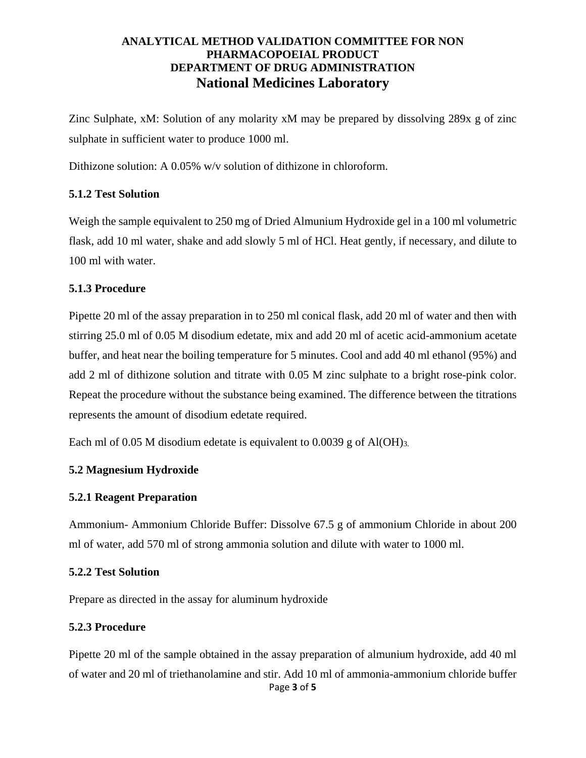Zinc Sulphate, xM: Solution of any molarity xM may be prepared by dissolving 289x g of zinc sulphate in sufficient water to produce 1000 ml.

Dithizone solution: A 0.05% w/v solution of dithizone in chloroform.

### **5.1.2 Test Solution**

Weigh the sample equivalent to 250 mg of Dried Almunium Hydroxide gel in a 100 ml volumetric flask, add 10 ml water, shake and add slowly 5 ml of HCl. Heat gently, if necessary, and dilute to 100 ml with water.

### **5.1.3 Procedure**

Pipette 20 ml of the assay preparation in to 250 ml conical flask, add 20 ml of water and then with stirring 25.0 ml of 0.05 M disodium edetate, mix and add 20 ml of acetic acid-ammonium acetate buffer, and heat near the boiling temperature for 5 minutes. Cool and add 40 ml ethanol (95%) and add 2 ml of dithizone solution and titrate with 0.05 M zinc sulphate to a bright rose-pink color. Repeat the procedure without the substance being examined. The difference between the titrations represents the amount of disodium edetate required.

Each ml of 0.05 M disodium edetate is equivalent to 0.0039 g of Al(OH)<sub>3</sub>.

### **5.2 Magnesium Hydroxide**

### **5.2.1 Reagent Preparation**

Ammonium- Ammonium Chloride Buffer: Dissolve 67.5 g of ammonium Chloride in about 200 ml of water, add 570 ml of strong ammonia solution and dilute with water to 1000 ml.

### **5.2.2 Test Solution**

Prepare as directed in the assay for aluminum hydroxide

### **5.2.3 Procedure**

Page **3** of **5** Pipette 20 ml of the sample obtained in the assay preparation of almunium hydroxide, add 40 ml of water and 20 ml of triethanolamine and stir. Add 10 ml of ammonia-ammonium chloride buffer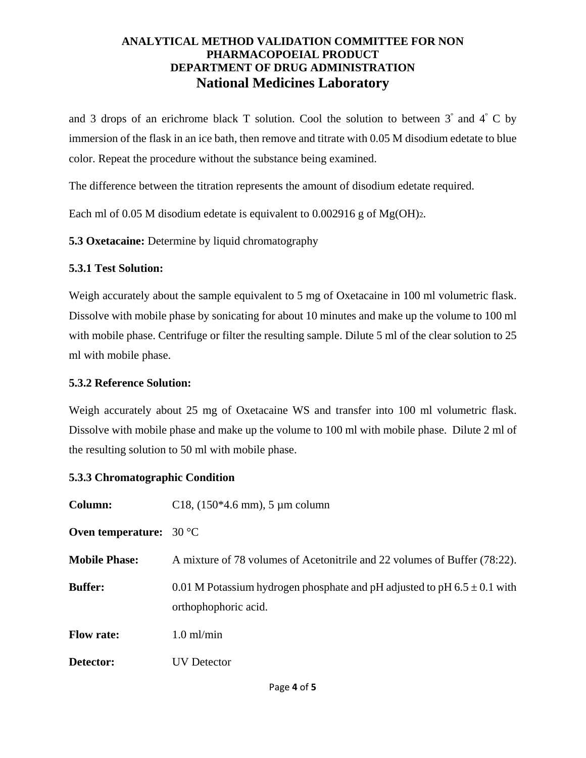and 3 drops of an erichrome black T solution. Cool the solution to between  $3^\circ$  and  $4^\circ$  C by immersion of the flask in an ice bath, then remove and titrate with 0.05 M disodium edetate to blue color. Repeat the procedure without the substance being examined.

The difference between the titration represents the amount of disodium edetate required.

Each ml of 0.05 M disodium edetate is equivalent to 0.002916 g of  $Mg(OH)<sub>2</sub>$ .

**5.3 Oxetacaine:** Determine by liquid chromatography

### **5.3.1 Test Solution:**

Weigh accurately about the sample equivalent to 5 mg of Oxetacaine in 100 ml volumetric flask. Dissolve with mobile phase by sonicating for about 10 minutes and make up the volume to 100 ml with mobile phase. Centrifuge or filter the resulting sample. Dilute 5 ml of the clear solution to 25 ml with mobile phase.

### **5.3.2 Reference Solution:**

Weigh accurately about 25 mg of Oxetacaine WS and transfer into 100 ml volumetric flask. Dissolve with mobile phase and make up the volume to 100 ml with mobile phase. Dilute 2 ml of the resulting solution to 50 ml with mobile phase.

### **5.3.3 Chromatographic Condition**

| Column:                          | C <sub>18</sub> , $(150*4.6 \text{ mm})$ , 5 µm column                                               |
|----------------------------------|------------------------------------------------------------------------------------------------------|
| Oven temperature: $30^{\circ}$ C |                                                                                                      |
| <b>Mobile Phase:</b>             | A mixture of 78 volumes of Acetonitrile and 22 volumes of Buffer (78:22).                            |
| <b>Buffer:</b>                   | 0.01 M Potassium hydrogen phosphate and pH adjusted to pH $6.5 \pm 0.1$ with<br>orthophophoric acid. |
| <b>Flow rate:</b>                | $1.0$ ml/min                                                                                         |
| Detector:                        | <b>UV</b> Detector                                                                                   |